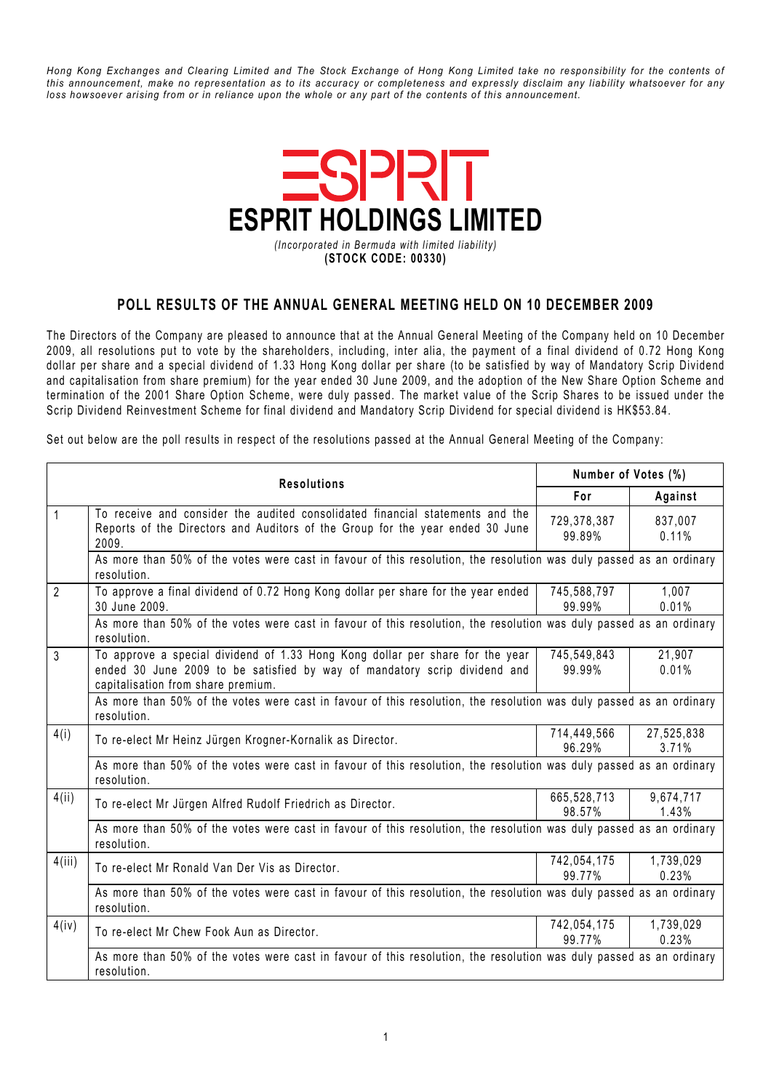Hong Kong Exchanges and Clearing Limited and The Stock Exchange of Hong Kong Limited take no responsibility for the contents of this announcement, make no representation as to its accuracy or completeness and expressly disclaim any liability whatsoever for any loss howsoever arising from or in reliance upon the whole or any part of the contents of this announcement.



## POLL RESULTS OF THE ANNUAL GENERAL MEETING HELD ON 10 DECEMBER 2009

The Directors of the Company are pleased to announce that at the Annual General Meeting of the Company held on 10 December 2009, all resolutions put to vote by the shareholders, including, inter alia, the payment of a final dividend of 0.72 Hong Kong dollar per share and a special dividend of 1.33 Hong Kong dollar per share (to be satisfied by way of Mandatory Scrip Dividend and capitalisation from share premium) for the year ended 30 June 2009, and the adoption of the New Share Option Scheme and termination of the 2001 Share Option Scheme, were duly passed. The market value of the Scrip Shares to be issued under the Scrip Dividend Reinvestment Scheme for final dividend and Mandatory Scrip Dividend for special dividend is HK\$53.84.

Set out below are the poll results in respect of the resolutions passed at the Annual General Meeting of the Company:

| <b>Resolutions</b> | Number of Votes (%)                                                                                                                                                                              |                       |                     |  |
|--------------------|--------------------------------------------------------------------------------------------------------------------------------------------------------------------------------------------------|-----------------------|---------------------|--|
|                    | For                                                                                                                                                                                              | Against               |                     |  |
| $\mathbf{1}$       | To receive and consider the audited consolidated financial statements and the<br>Reports of the Directors and Auditors of the Group for the year ended 30 June<br>2009.                          | 729,378,387<br>99.89% | 837,007<br>0.11%    |  |
|                    | As more than 50% of the votes were cast in favour of this resolution, the resolution was duly passed as an ordinary<br>resolution.                                                               |                       |                     |  |
| $\overline{2}$     | To approve a final dividend of 0.72 Hong Kong dollar per share for the year ended<br>30 June 2009.                                                                                               | 745,588,797<br>99.99% | 1,007<br>0.01%      |  |
|                    | As more than 50% of the votes were cast in favour of this resolution, the resolution was duly passed as an ordinary<br>resolution.                                                               |                       |                     |  |
| $\mathfrak{Z}$     | To approve a special dividend of 1.33 Hong Kong dollar per share for the year<br>ended 30 June 2009 to be satisfied by way of mandatory scrip dividend and<br>capitalisation from share premium. | 745,549,843<br>99.99% | 21,907<br>0.01%     |  |
|                    | As more than 50% of the votes were cast in favour of this resolution, the resolution was duly passed as an ordinary<br>resolution.                                                               |                       |                     |  |
| 4(i)               | To re-elect Mr Heinz Jürgen Krogner-Kornalik as Director.                                                                                                                                        | 714,449,566<br>96.29% | 27,525,838<br>3.71% |  |
|                    | As more than 50% of the votes were cast in favour of this resolution, the resolution was duly passed as an ordinary<br>resolution.                                                               |                       |                     |  |
| 4(ii)              | To re-elect Mr Jürgen Alfred Rudolf Friedrich as Director.                                                                                                                                       | 665,528,713<br>98.57% | 9,674,717<br>1.43%  |  |
|                    | As more than 50% of the votes were cast in favour of this resolution, the resolution was duly passed as an ordinary<br>resolution.                                                               |                       |                     |  |
| 4(iii)             | To re-elect Mr Ronald Van Der Vis as Director.                                                                                                                                                   | 742,054,175<br>99.77% | 1,739,029<br>0.23%  |  |
|                    | As more than 50% of the votes were cast in favour of this resolution, the resolution was duly passed as an ordinary<br>resolution.                                                               |                       |                     |  |
| 4(iv)              | To re-elect Mr Chew Fook Aun as Director.                                                                                                                                                        | 742,054,175<br>99.77% | 1,739,029<br>0.23%  |  |
|                    | As more than 50% of the votes were cast in favour of this resolution, the resolution was duly passed as an ordinary<br>resolution.                                                               |                       |                     |  |